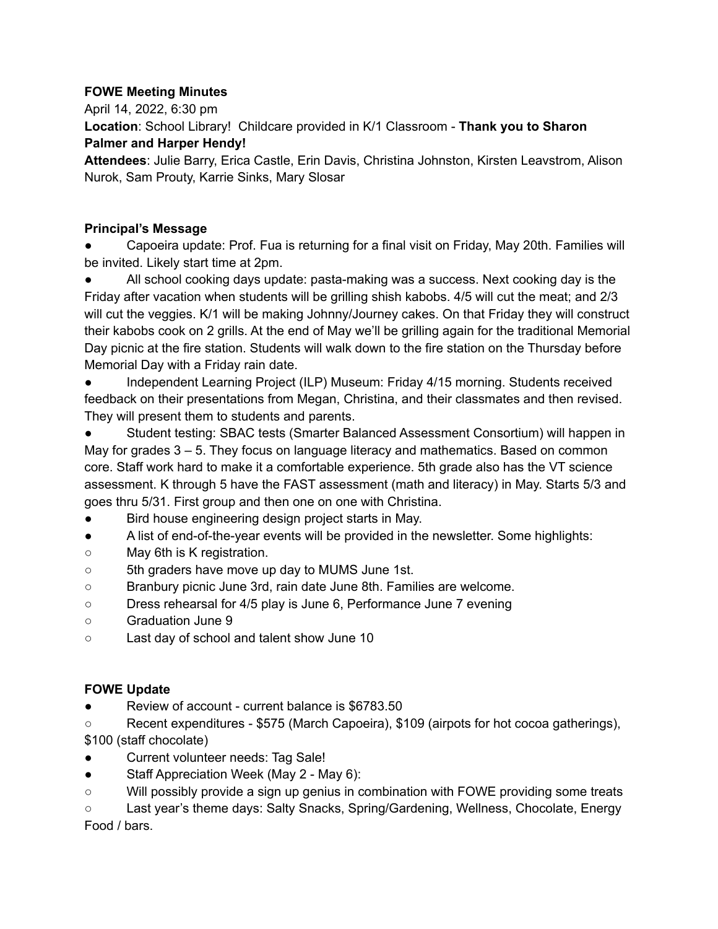## **FOWE Meeting Minutes**

April 14, 2022, 6:30 pm

**Location**: School Library! Childcare provided in K/1 Classroom - **Thank you to Sharon Palmer and Harper Hendy!**

**Attendees**: Julie Barry, Erica Castle, Erin Davis, Christina Johnston, Kirsten Leavstrom, Alison Nurok, Sam Prouty, Karrie Sinks, Mary Slosar

## **Principal's Message**

Capoeira update: Prof. Fua is returning for a final visit on Friday, May 20th. Families will be invited. Likely start time at 2pm.

All school cooking days update: pasta-making was a success. Next cooking day is the Friday after vacation when students will be grilling shish kabobs. 4/5 will cut the meat; and 2/3 will cut the veggies. K/1 will be making Johnny/Journey cakes. On that Friday they will construct their kabobs cook on 2 grills. At the end of May we'll be grilling again for the traditional Memorial Day picnic at the fire station. Students will walk down to the fire station on the Thursday before Memorial Day with a Friday rain date.

Independent Learning Project (ILP) Museum: Friday 4/15 morning. Students received feedback on their presentations from Megan, Christina, and their classmates and then revised. They will present them to students and parents.

Student testing: SBAC tests (Smarter Balanced Assessment Consortium) will happen in May for grades 3 – 5. They focus on language literacy and mathematics. Based on common core. Staff work hard to make it a comfortable experience. 5th grade also has the VT science assessment. K through 5 have the FAST assessment (math and literacy) in May. Starts 5/3 and goes thru 5/31. First group and then one on one with Christina.

- Bird house engineering design project starts in May.
- A list of end-of-the-year events will be provided in the newsletter. Some highlights:
- May 6th is K registration.
- 5th graders have move up day to MUMS June 1st.
- Branbury picnic June 3rd, rain date June 8th. Families are welcome.
- Dress rehearsal for 4/5 play is June 6, Performance June 7 evening
- Graduation June 9
- Last day of school and talent show June 10

# **FOWE Update**

● Review of account - current balance is \$6783.50

○ Recent expenditures - \$575 (March Capoeira), \$109 (airpots for hot cocoa gatherings), \$100 (staff chocolate)

- Current volunteer needs: Tag Sale!
- Staff Appreciation Week (May 2 May 6):
- Will possibly provide a sign up genius in combination with FOWE providing some treats

○ Last year's theme days: Salty Snacks, Spring/Gardening, Wellness, Chocolate, Energy Food / bars.